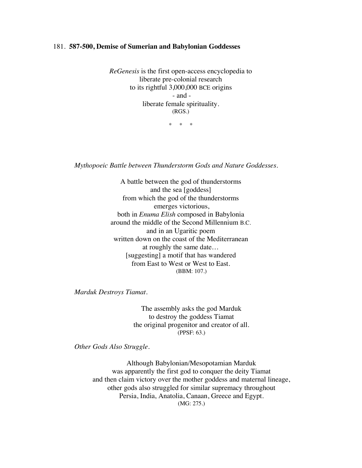## 181. **587-500, Demise of Sumerian and Babylonian Goddesses**

*ReGenesis* is the first open-access encyclopedia to liberate pre-colonial research to its rightful 3,000,000 BCE origins - and liberate female spirituality. (RGS.)

\* \* \*

*Mythopoeic Battle between Thunderstorm Gods and Nature Goddesses.*

A battle between the god of thunderstorms and the sea [goddess] from which the god of the thunderstorms emerges victorious, both in *Enuma Elish* composed in Babylonia around the middle of the Second Millennium B.C. and in an Ugaritic poem written down on the coast of the Mediterranean at roughly the same date… [suggesting] a motif that has wandered from East to West or West to East. (BBM: 107.)

*Marduk Destroys Tiamat*.

The assembly asks the god Marduk to destroy the goddess Tiamat the original progenitor and creator of all. (PPSF: 63.)

*Other Gods Also Struggle*.

Although Babylonian/Mesopotamian Marduk was apparently the first god to conquer the deity Tiamat and then claim victory over the mother goddess and maternal lineage, other gods also struggled for similar supremacy throughout Persia, India, Anatolia, Canaan, Greece and Egypt. (MG: 275.)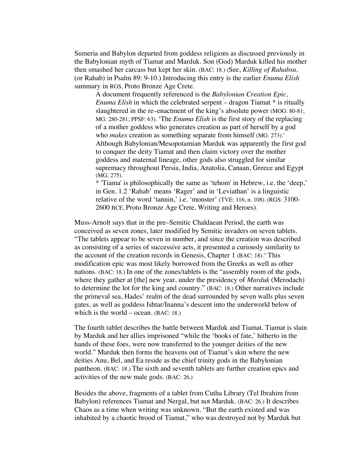Sumeria and Babylon departed from goddess religions as discussed previously in the Babylonian myth of Tiamat and Marduk. Son (God) Marduk killed his mother then smashed her carcass but kept her skin. (BAC: 18.) (See, *Killing of Rahabsu*, (or Rahab) in Psalm 89: 9-10.) Introducing this entry is the earlier *Enuma Elish*  summary in RGS, Proto Bronze Age Crete.

A document frequently referenced is the *Babylonian Creation Epic, Enuma Elish* in which the celebrated serpent – dragon Tiamat \* is ritually slaughtered in the re–enactment of the king's absolute power (MOG: 80-81; MG: 280-281; PPSF: 63). 'The *Enuma Elish* is the first story of the replacing of a mother goddess who generates creation as part of herself by a god who *makes* creation as something separate from himself (MG: 273).' Although Babylonian/Mesopotamian Marduk was apparently the first god to conquer the deity Tiamat and then claim victory over the mother goddess and maternal lineage, other gods also struggled for similar supremacy throughout Persia, India, Anatolia, Canaan, Greece and Egypt (MG: 275).

\* 'Tiama' is philosophically the same as 'tehom' in Hebrew, i.e. the 'deep,' in Gen. 1.2 'Rahab' means 'Rager' and in 'Leviathan' is a linguistic relative of the word 'tannin,' i.e. 'monster' (TVE: 116, n. 108). (RGS: 3100- 2600 BCE, Proto Bronze Age Crete, Writing and Heroes).

Muss-Arnolt says that in the pre–Semitic Chaldaean Period, the earth was conceived as seven zones, later modified by Semitic invaders on seven tablets. "The tablets appear to be seven in number, and since the creation was described as consisting of a series of successive acts, it presented a curiously similarity to the account of the creation records in Genesis, Chapter 1 (BAC: 18)." This modification epic was most likely borrowed from the Greeks as well as other nations. (BAC: 18.) In one of the zones/tablets is the "assembly room of the gods, where they gather at [the] new year, under the presidency of *Marduk* (Merodach) to determine the lot for the king and country." (BAC: 18.) Other narratives include the primeval sea, Hades' realm of the dead surrounded by seven walls plus seven gates, as well as goddess Ishtar/Inanna's descent into the underworld below of which is the world – ocean. (BAC: 18.)

The fourth tablet describes the battle between Marduk and Tiamat. Tiamat is slain by Marduk and her allies imprisoned "while the 'books of fate,' hitherto in the hands of these foes, were now transferred to the younger deities of the new world." Marduk then forms the heavens out of Tiamat's skin where the new deities Anu, Bel, and Ea reside as the chief trinity gods in the Babylonian pantheon. (BAC: 18.) The sixth and seventh tablets are further creation epics and activities of the new male gods. (BAC: 26.)

Besides the above, fragments of a tablet from Cutha Library (Tel Ibrahim from Babylon) references Tiamat and Nergal, but not Marduk. (BAC: 26.) It describes Chaos as a time when writing was unknown. "But the earth existed and was inhabited by a chaotic brood of Tiamat," who was destroyed not by Marduk but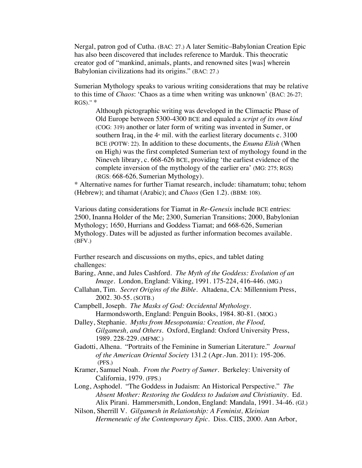Nergal, patron god of Cutha. (BAC: 27.) A later Semitic–Babylonian Creation Epic has also been discovered that includes reference to Marduk. This theocratic creator god of "mankind, animals, plants, and renowned sites [was] wherein Babylonian civilizations had its origins." (BAC: 27.)

Sumerian Mythology speaks to various writing considerations that may be relative to this time of *Chaos*: 'Chaos as a time when writing was unknown' (BAC: 26-27;  $RGS$ ."  $*$ 

Although pictographic writing was developed in the Climactic Phase of Old Europe between 5300-4300 BCE and equaled a *script of its own kind* (COG: 319) another or later form of writing was invented in Sumer, or southern Iraq, in the  $4<sup>th</sup>$  mil. with the earliest literary documents c. 3100 BCE (POTW: 22). In addition to these documents, the *Enuma Elish* (When on High*)* was the first completed Sumerian text of mythology found in the Nineveh library, c. 668-626 BCE, providing 'the earliest evidence of the complete inversion of the mythology of the earlier era' (MG: 275; RGS) (RGS: 668-626, Sumerian Mythology).

\* Alternative names for further Tiamat research, include: tihamatum; tohu; tehom (Hebrew); and tihamat (Arabic); and *Chaos* (Gen 1.2). (BBM: 108).

Various dating considerations for Tiamat in *Re-Genesis* include BCE entries: 2500, Inanna Holder of the Me; 2300, Sumerian Transitions; 2000, Babylonian Mythology; 1650, Hurrians and Goddess Tiamat; and 668-626, Sumerian Mythology. Dates will be adjusted as further information becomes available. (BFV.)

Further research and discussions on myths, epics, and tablet dating challenges:

- Baring, Anne, and Jules Cashford. *The Myth of the Goddess: Evolution of an Image*. London, England: Viking, 1991. 175-224, 416-446. (MG.)
- Callahan, Tim. *Secret Origins of the Bible.* Altadena, CA: Millennium Press, 2002. 30-55. (SOTB.)
- Campbell, Joseph. *The Masks of God: Occidental Mythology.* Harmondsworth, England: Penguin Books, 1984. 80-81. (MOG.)
- Dalley, Stephanie. *Myths from Mesopotamia: Creation, the Flood, Gilgamesh, and Others*. Oxford, England: Oxford University Press, 1989. 228-229. (MFMC.)
- Gadotti, Alhena. "Portraits of the Feminine in Sumerian Literature." *Journal of the American Oriental Society* 131.2 (Apr.-Jun. 2011): 195-206. (PFS.)
- Kramer, Samuel Noah. *From the Poetry of Sumer*. Berkeley: University of California, 1979. (FPS.)
- Long, Asphodel. "The Goddess in Judaism: An Historical Perspective." *The Absent Mother: Restoring the Goddess to Judaism and Christianity.* Ed. Alix Pirani. Hammersmith, London, England: Mandala, 1991. 34-46. (GJ.)

Nilson, Sherrill V. *Gilgamesh in Relationship: A Feminist, Kleinian Hermeneutic of the Contemporary Epic.* Diss. CIIS, 2000. Ann Arbor,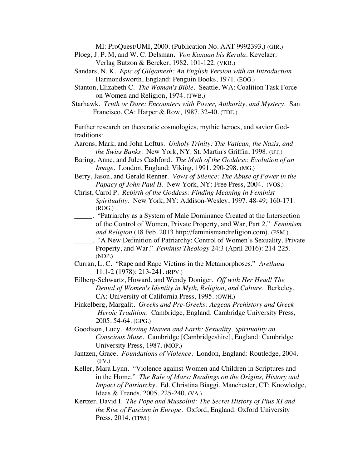MI: ProQuest/UMI, 2000. (Publication No. AAT 9992393.) (GIR.)

- Ploeg, J. P. M, and W. C. Delsman. *Von Kanaan bis Kerala.* Kevelaer: Verlag Butzon & Bercker, 1982. 101-122. (VKB.)
- Sandars, N. K. *Epic of Gilgamesh: An English Version with an Introduction.* Harmondsworth, England: Penguin Books, 1971. (EOG.)
- Stanton, Elizabeth C. *The Woman's Bible*. Seattle, WA: Coalition Task Force on Women and Religion, 1974. (TWB.)
- Starhawk. *Truth or Dare: Encounters with Power, Authority, and Mystery.* San Francisco, CA: Harper & Row, 1987. 32-40. (TDE.)

Further research on theocratic cosmologies, mythic heroes, and savior Godtraditions:

- Aarons, Mark, and John Loftus. *Unholy Trinity: The Vatican, the Nazis, and the Swiss Banks*. New York, NY: St. Martin's Griffin, 1998. (UT.)
- Baring, Anne, and Jules Cashford. *The Myth of the Goddess: Evolution of an Image*. London, England: Viking, 1991. 290-298. (MG.)
- Berry, Jason, and Gerald Renner. *Vows of Silence: The Abuse of Power in the Papacy of John Paul II*. New York, NY: Free Press, 2004. (VOS.)
- Christ, Carol P. *Rebirth of the Goddess: Finding Meaning in Feminist Spirituality*. New York, NY: Addison-Wesley, 1997. 48-49; 160-171. (ROG.)
- \_\_\_\_\_. "Patriarchy as a System of Male Dominance Created at the Intersection of the Control of Women, Private Property, and War, Part 2." *Feminism and Religion* (18 Feb. 2013 http://feminismandreligion.com). (PSM.)
	- \_\_\_\_\_. "A New Definition of Patriarchy: Control of Women's Sexuality, Private Property, and War." *Feminist Theology* 24:3 (April 2016): 214-225. (NDP.)
- Curran, L. C. "Rape and Rape Victims in the Metamorphoses." *Arethusa* 11.1-2 (1978): 213-241. (RPV.)
- Eilberg-Schwartz, Howard, and Wendy Doniger. *Off with Her Head! The Denial of Women's Identity in Myth, Religion, and Culture*. Berkeley, CA: University of California Press, 1995. (OWH.)
- Finkelberg, Margalit. *Greeks and Pre-Greeks: Aegean Prehistory and Greek Heroic Tradition.* Cambridge, England: Cambridge University Press, 2005. 54-64. (GPG.)
- Goodison, Lucy. *Moving Heaven and Earth: Sexuality, Spirituality an Conscious Muse*. Cambridge [Cambridgeshire], England: Cambridge University Press, 1987. (MOP.)
- Jantzen, Grace. *Foundations of Violence*. London, England: Routledge, 2004. (FV.)
- Keller, Mara Lynn. "Violence against Women and Children in Scriptures and in the Home." *The Rule of Mars: Readings on the Origins, History and Impact of Patriarchy.* Ed. Christina Biaggi. Manchester, CT: Knowledge, Ideas & Trends, 2005. 225-240. (VA.)
- Kertzer, David I. *The Pope and Mussolini: The Secret History of Pius XI and the Rise of Fascism in Europe.* Oxford, England: Oxford University Press, 2014. (TPM.)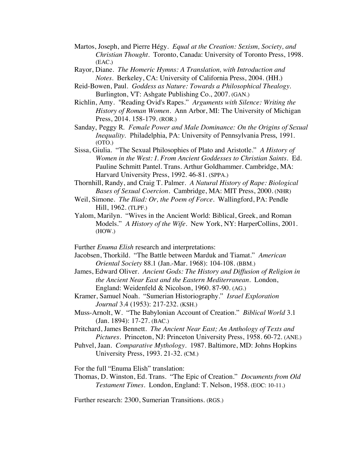- Martos, Joseph, and Pierre Hégy. *Equal at the Creation: Sexism, Society, and Christian Thought*. Toronto, Canada: University of Toronto Press, 1998. (EAC.)
- Rayor, Diane. *The Homeric Hymns: A Translation, with Introduction and Notes.* Berkeley, CA: University of California Press, 2004. (HH.)
- Reid-Bowen, Paul. *Goddess as Nature: Towards a Philosophical Thealogy.* Burlington, VT: Ashgate Publishing Co., 2007. (GAN.)
- Richlin, Amy. "Reading Ovid's Rapes." *Arguments with Silence: Writing the History of Roman Women*. Ann Arbor, MI: The University of Michigan Press, 2014. 158-179. (ROR.)
- Sanday, Peggy R. *Female Power and Male Dominance: On the Origins of Sexual Inequality*. Philadelphia, PA: University of Pennsylvania Press, 1991. (OTO.)
- Sissa, Giulia. "The Sexual Philosophies of Plato and Aristotle." *A History of Women in the West: I. From Ancient Goddesses to Christian Saints.* Ed. Pauline Schmitt Pantel. Trans. Arthur Goldhammer. Cambridge, MA: Harvard University Press, 1992. 46-81. (SPPA.)
- Thornhill, Randy, and Craig T. Palmer. *A Natural History of Rape: Biological Bases of Sexual Coercion*. Cambridge, MA: MIT Press, 2000. (NHR)
- Weil, Simone. *The Iliad: Or, the Poem of Force*. Wallingford, PA: Pendle Hill, 1962. (TLPF.)
- Yalom, Marilyn. "Wives in the Ancient World: Biblical, Greek, and Roman Models." *A History of the Wife*. New York, NY: HarperCollins, 2001. (HOW.)
- Further *Enuma Elish* research and interpretations:
- Jacobsen, Thorkild. "The Battle between Marduk and Tiamat." *American Oriental Society* 88.1 (Jan.-Mar. 1968): 104-108. (BBM.)
- James, Edward Oliver. *Ancient Gods: The History and Diffusion of Religion in the Ancient Near East and the Eastern Mediterranean.* London, England: Weidenfeld & Nicolson, 1960. 87-90. (AG.)
- Kramer, Samuel Noah. "Sumerian Historiography." *Israel Exploration Journal* 3.4 (1953): 217-232. (KSH.)
- Muss-Arnolt, W. "The Babylonian Account of Creation." *Biblical World* 3.1 (Jan. 1894): 17-27. (BAC.)
- Pritchard, James Bennett. *The Ancient Near East; An Anthology of Texts and Pictures*. Princeton, NJ: Princeton University Press, 1958. 60-72. (ANE.)
- Puhvel, Jaan. *Comparative Mythology*. 1987. Baltimore, MD: Johns Hopkins University Press, 1993. 21-32. (CM.)

For the full "Enuma Elish" translation:

Thomas, D. Winston, Ed. Trans. "The Epic of Creation." *Documents from Old Testament Times*. London, England: T. Nelson, 1958. (EOC: 10-11.)

Further research: 2300, Sumerian Transitions. (RGS.)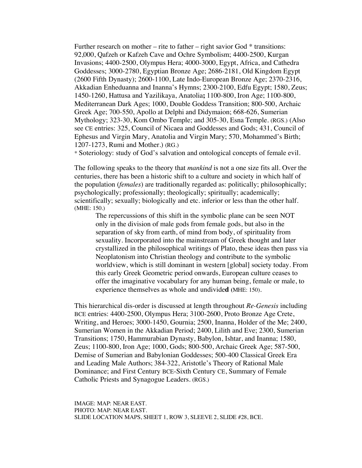Further research on mother – rite to father – right savior God  $*$  transitions: 92,000, Qafzeh or Kafzeh Cave and Ochre Symbolism; 4400-2500, Kurgan Invasions; 4400-2500, Olympus Hera; 4000-3000, Egypt, Africa, and Cathedra Goddesses; 3000-2780, Egyptian Bronze Age; 2686-2181, Old Kingdom Egypt (2600 Fifth Dynasty); 2600-1100, Late Indo-European Bronze Age; 2370-2316, Akkadian Enheduanna and Inanna's Hymns; 2300-2100, Edfu Egypt; 1580, Zeus; 1450-1260, Hattusa and Yazilikaya, Anatolia**;** 1100-800, Iron Age; 1100-800, Mediterranean Dark Ages; 1000, Double Goddess Transition; 800-500, Archaic Greek Age; 700-550, Apollo at Delphi and Didymaion; 668-626, Sumerian Mythology; 323-30, Kom Ombo Temple; and 305-30, Esna Temple. (RGS.) (Also see CE entries: 325, Council of Nicaea and Goddesses and Gods; 431, Council of Ephesus and Virgin Mary, Anatolia and Virgin Mary; 570, Mohammed's Birth; 1207-1273, Rumi and Mother.) (RG.)

\* Soteriology: study of God's salvation and ontological concepts of female evil.

The following speaks to the theory that *mankind* is not a one size fits all. Over the centuries, there has been a historic shift to a culture and society in which half of the population (*females*) are traditionally regarded as: politically; philosophically; psychologically; professionally; theologically; spiritually; academically; scientifically; sexually; biologically and etc. inferior or less than the other half. (MHE: 150.)

The repercussions of this shift in the symbolic plane can be seen NOT only in the division of male gods from female gods, but also in the separation of sky from earth, of mind from body, of spirituality from sexuality. Incorporated into the mainstream of Greek thought and later crystallized in the philosophical writings of Plato, these ideas then pass via Neoplatonism into Christian theology and contribute to the symbolic worldview, which is still dominant in western [global] society today. From this early Greek Geometric period onwards, European culture ceases to offer the imaginative vocabulary for any human being, female or male, to experience themselves as whole and undivide**d (**MHE: 150).

This hierarchical dis-order is discussed at length throughout *Re-Genesis* including BCE entries: 4400-2500, Olympus Hera; 3100-2600, Proto Bronze Age Crete, Writing, and Heroes; 3000-1450, Gournia; 2500, Inanna, Holder of the Me; 2400, Sumerian Women in the Akkadian Period; 2400, Lilith and Eve; 2300, Sumerian Transitions; 1750, Hammurabian Dynasty, Babylon, Ishtar, and Inanna; 1580, Zeus; 1100-800, Iron Age; 1000, Gods; 800-500, Archaic Greek Age; 587-500, Demise of Sumerian and Babylonian Goddesses; 500-400 Classical Greek Era and Leading Male Authors; 384-322, Aristotle's Theory of Rational Male Dominance; and First Century BCE-Sixth Century CE, Summary of Female Catholic Priests and Synagogue Leaders. (RGS.)

IMAGE: MAP: NEAR EAST. PHOTO: MAP: NEAR EAST. SLIDE LOCATION MAPS, SHEET 1, ROW 3, SLEEVE 2, SLIDE #28, BCE.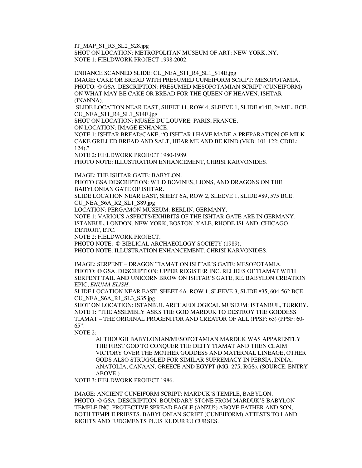IT\_MAP\_S1\_R3\_SL2\_S28.jpg

SHOT ON LOCATION: METROPOLITAN MUSEUM OF ART: NEW YORK, NY. NOTE 1: FIELDWORK PROJECT 1998-2002.

ENHANCE SCANNED SLIDE: CU\_NEA\_S11\_R4\_SL1\_S14E.jpg IMAGE: CAKE OR BREAD WITH PRESUMED CUNEIFORM SCRIPT: MESOPOTAMIA. PHOTO: © GSA. DESCRIPTION: PRESUMED MESOPOTAMIAN SCRIPT (CUNEIFORM) ON WHAT MAY BE CAKE OR BREAD FOR THE QUEEN OF HEAVEN, ISHTAR (INANNA).

SLIDE LOCATION NEAR EAST, SHEET 11, ROW 4, SLEEVE 1, SLIDE #14E,  $2^{\infty}$  MIL. BCE. CU\_NEA\_S11\_R4\_SL1\_S14E.jpg

SHOT ON LOCATION: MUSÉE DU LOUVRE: PARIS, FRANCE.

ON LOCATION: IMAGE ENHANCE.

NOTE 1: ISHTAR BREAD/CAKE. "O ISHTAR I HAVE MADE A PREPARATION OF MILK, CAKE GRILLED BREAD AND SALT, HEAR ME AND BE KIND (VKB: 101-122; CDBL: 124)."

NOTE 2: FIELDWORK PROJECT 1980-1989.

PHOTO NOTE: ILLUSTRATION ENHANCEMENT, CHRISI KARVONIDES.

IMAGE: THE ISHTAR GATE: BABYLON.

PHOTO GSA DESCRIPTION: WILD BOVINES, LIONS, AND DRAGONS ON THE BABYLONIAN GATE OF ISHTAR.

SLIDE LOCATION NEAR EAST, SHEET 6A, ROW 2, SLEEVE 1, SLIDE #89, 575 BCE. CU\_NEA\_S6A\_R2\_SL1\_S89.jpg

LOCATION: PERGAMON MUSEUM: BERLIN, GERMANY.

NOTE 1: VARIOUS ASPECTS/EXHIBITS OF THE ISHTAR GATE ARE IN GERMANY, ISTANBUL, LONDON, NEW YORK, BOSTON, YALE, RHODE ISLAND, CHICAGO, DETROIT, ETC.

NOTE 2: FIELDWORK PROJECT.

PHOTO NOTE: © BIBLICAL ARCHAEOLOGY SOCIETY (1989).

PHOTO NOTE: ILLUSTRATION ENHANCEMENT, CHRISI KARVONIDES.

IMAGE: SERPENT – DRAGON TIAMAT ON ISHTAR'S GATE: MESOPOTAMIA. PHOTO: © GSA. DESCRIPTION: UPPER REGISTER INC. RELIEFS OF TIAMAT WITH SERPENT TAIL AND UNICORN BROW ON ISHTAR'S GATE, RE. BABYLON CREATION EPIC, *ENUMA ELISH*.

SLIDE LOCATION NEAR EAST, SHEET 6A, ROW 1, SLEEVE 3, SLIDE #35, 604-562 BCE CU\_NEA\_S6A\_R1\_SL3\_S35.jpg

SHOT ON LOCATION: ISTANBUL ARCHAEOLOGICAL MUSEUM: ISTANBUL, TURKEY. NOTE 1: "THE ASSEMBLY ASKS THE GOD MARDUK TO DESTROY THE GODDESS TIAMAT – THE ORIGINAL PROGENITOR AND CREATOR OF ALL (PPSF: 63) (PPSF: 60- 65".

NOTE 2:

ALTHOUGH BABYLONIAN/MESOPOTAMIAN MARDUK WAS APPARENTLY THE FIRST GOD TO CONQUER THE DEITY TIAMAT AND THEN CLAIM VICTORY OVER THE MOTHER GODDESS AND MATERNAL LINEAGE, OTHER GODS ALSO STRUGGLED FOR SIMILAR SUPREMACY IN PERSIA, INDIA, ANATOLIA, CANAAN, GREECE AND EGYPT (MG: 275; RGS). (SOURCE: ENTRY ABOVE.)

NOTE 3: FIELDWORK PROJECT 1986.

IMAGE: ANCIENT CUNEIFORM SCRIPT: MARDUK'S TEMPLE, BABYLON. PHOTO: © GSA. DESCRIPTION: BOUNDARY STONE FROM MARDUK'S BABYLON TEMPLE INC. PROTECTIVE SPREAD EAGLE (ANZU?) ABOVE FATHER AND SON, BOTH TEMPLE PRIESTS. BABYLONIAN SCRIPT (CUNEIFORM) ATTESTS TO LAND RIGHTS AND JUDGMENTS PLUS KUDURRU CURSES.